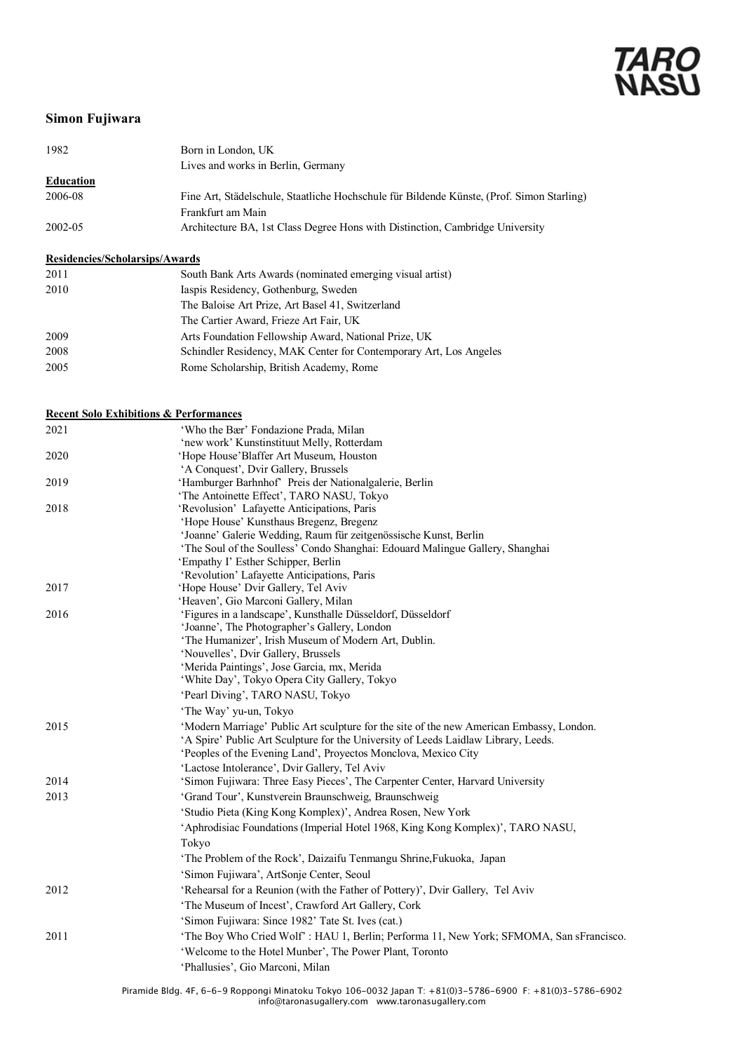### **Simon Fujiwara**

| 1982      | Born in London, UK                                                                        |
|-----------|-------------------------------------------------------------------------------------------|
|           | Lives and works in Berlin, Germany                                                        |
| Education |                                                                                           |
| 2006-08   | Fine Art, Städelschule, Staatliche Hochschule für Bildende Künste, (Prof. Simon Starling) |
|           | Frankfurt am Main                                                                         |
| 2002-05   | Architecture BA, 1st Class Degree Hons with Distinction, Cambridge University             |

### **Residencies/Scholarsips/Awards**

| 2011 | South Bank Arts Awards (nominated emerging visual artist)         |
|------|-------------------------------------------------------------------|
| 2010 | Iaspis Residency, Gothenburg, Sweden                              |
|      | The Baloise Art Prize, Art Basel 41, Switzerland                  |
|      | The Cartier Award, Frieze Art Fair, UK                            |
| 2009 | Arts Foundation Fellowship Award, National Prize, UK              |
| 2008 | Schindler Residency, MAK Center for Contemporary Art, Los Angeles |
| 2005 | Rome Scholarship, British Academy, Rome                           |

### **Recent Solo Exhibitions & Performances** 2021 'Who the Bær' Fondazione Prada, Milan 'new work' Kunstinstituut Melly, Rotterdam 2020 'Hope House'Blaffer Art Museum, Houston 'A Conquest', Dvir Gallery, Brussels 2019 'Hamburger Barhnhof' Preis der Nationalgalerie, Berlin 'The Antoinette Effect', TARO NASU, Tokyo 2018 'Revolusion' Lafayette Anticipations, Paris 'Hope House' Kunsthaus Bregenz, Bregenz 'Joanne' Galerie Wedding, Raum für zeitgenössische Kunst, Berlin 'The Soul of the Soulless' Condo Shanghai: Edouard Malingue Gallery, Shanghai 'Empathy I' Esther Schipper, Berlin 'Revolution' Lafayette Anticipations, Paris 2017 'Hope House' Dvir Gallery, Tel Aviv 'Heaven', Gio Marconi Gallery, Milan 2016 'Figures in a landscape', Kunsthalle Düsseldorf, Düsseldorf 'Joanne', The Photographer's Gallery, London 'The Humanizer', Irish Museum of Modern Art, Dublin. 'Nouvelles', Dvir Gallery, Brussels 'Merida Paintings', Jose Garcia, mx, Merida 'White Day', Tokyo Opera City Gallery, Tokyo 'Pearl Diving', TARO NASU, Tokyo 'The Way' yu-un, Tokyo 2015 'Modern Marriage' Public Art sculpture for the site of the new American Embassy, London. 'A Spire' Public Art Sculpture for the University of Leeds Laidlaw Library, Leeds. 'Peoples of the Evening Land', Proyectos Monclova, Mexico City

|      | I copics of the Evening Eand , Hovedos monetova, meano City                             |
|------|-----------------------------------------------------------------------------------------|
|      | 'Lactose Intolerance', Dvir Gallery, Tel Aviv                                           |
| 2014 | 'Simon Fujiwara: Three Easy Pieces', The Carpenter Center, Harvard University           |
| 2013 | 'Grand Tour', Kunstverein Braunschweig, Braunschweig                                    |
|      | 'Studio Pieta (King Kong Komplex)', Andrea Rosen, New York                              |
|      | 'Aphrodisiac Foundations (Imperial Hotel 1968, King Kong Komplex)', TARO NASU,          |
|      | Tokyo                                                                                   |
|      | 'The Problem of the Rock', Daizaifu Tenmangu Shrine, Fukuoka, Japan                     |
|      | 'Simon Fujiwara', ArtSonje Center, Seoul                                                |
| 2012 | 'Rehearsal for a Reunion (with the Father of Pottery)', Dvir Gallery, Tel Aviv          |
|      | 'The Museum of Incest', Crawford Art Gallery, Cork                                      |
|      | 'Simon Fujiwara: Since 1982' Tate St. Ives (cat.)                                       |
| 2011 | 'The Boy Who Cried Wolf': HAU 1, Berlin; Performa 11, New York; SFMOMA, San sFrancisco. |
|      | 'Welcome to the Hotel Munber', The Power Plant, Toronto                                 |
|      | 'Phallusies', Gio Marconi, Milan                                                        |
|      |                                                                                         |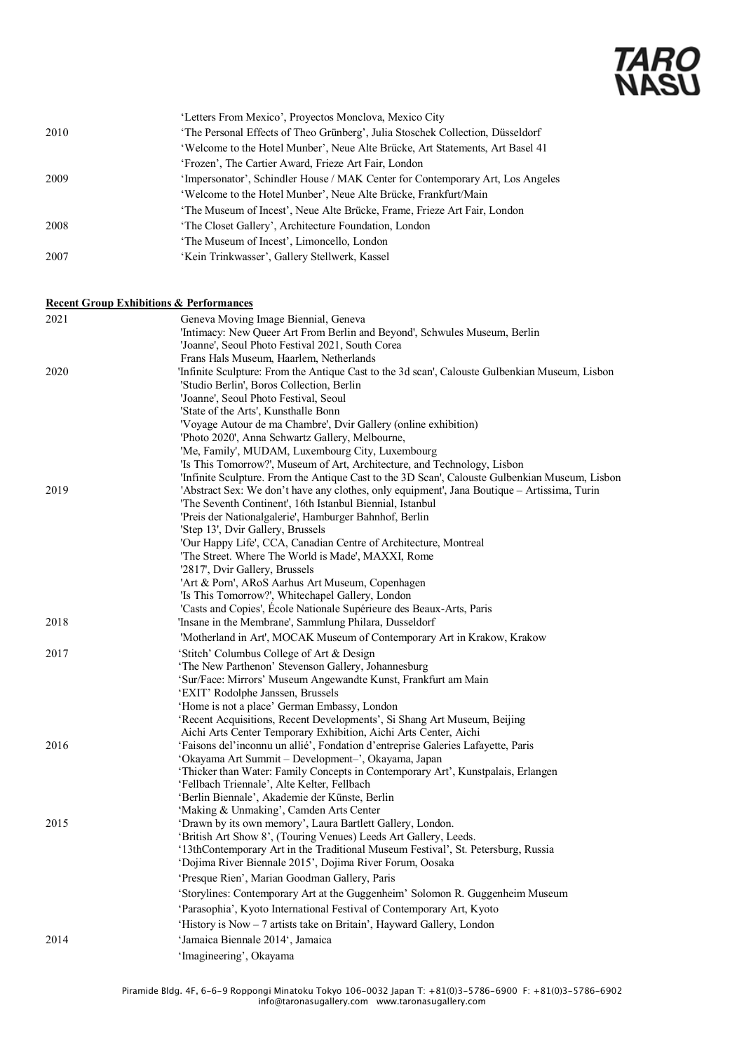|      | 'Letters From Mexico', Proyectos Monclova, Mexico City                         |
|------|--------------------------------------------------------------------------------|
| 2010 | 'The Personal Effects of Theo Grünberg', Julia Stoschek Collection, Düsseldorf |
|      | 'Welcome to the Hotel Munber', Neue Alte Brücke, Art Statements, Art Basel 41  |
|      | 'Frozen', The Cartier Award, Frieze Art Fair, London                           |
| 2009 | 'Impersonator', Schindler House / MAK Center for Contemporary Art, Los Angeles |
|      | 'Welcome to the Hotel Munber', Neue Alte Brücke, Frankfurt/Main                |
|      | 'The Museum of Incest', Neue Alte Brücke, Frame, Frieze Art Fair, London       |
| 2008 | 'The Closet Gallery', Architecture Foundation, London                          |
|      | 'The Museum of Incest', Limoncello, London                                     |
| 2007 | 'Kein Trinkwasser', Gallery Stellwerk, Kassel                                  |

### **Recent Group Exhibitions & Performances**

| 2021 | Geneva Moving Image Biennial, Geneva                                                                                                                                       |
|------|----------------------------------------------------------------------------------------------------------------------------------------------------------------------------|
|      | 'Intimacy: New Queer Art From Berlin and Beyond', Schwules Museum, Berlin                                                                                                  |
|      | 'Joanne', Seoul Photo Festival 2021, South Corea                                                                                                                           |
|      | Frans Hals Museum, Haarlem, Netherlands                                                                                                                                    |
| 2020 | 'Infinite Sculpture: From the Antique Cast to the 3d scan', Calouste Gulbenkian Museum, Lisbon                                                                             |
|      | 'Studio Berlin', Boros Collection, Berlin                                                                                                                                  |
|      | 'Joanne', Seoul Photo Festival, Seoul                                                                                                                                      |
|      | 'State of the Arts', Kunsthalle Bonn                                                                                                                                       |
|      | 'Voyage Autour de ma Chambre', Dvir Gallery (online exhibition)                                                                                                            |
|      | 'Photo 2020', Anna Schwartz Gallery, Melbourne,                                                                                                                            |
|      | 'Me, Family', MUDAM, Luxembourg City, Luxembourg                                                                                                                           |
|      | 'Is This Tomorrow?', Museum of Art, Architecture, and Technology, Lisbon<br>'Infinite Sculpture. From the Antique Cast to the 3D Scan', Calouste Gulbenkian Museum, Lisbon |
| 2019 | 'Abstract Sex: We don't have any clothes, only equipment', Jana Boutique - Artissima, Turin                                                                                |
|      | 'The Seventh Continent', 16th Istanbul Biennial, Istanbul                                                                                                                  |
|      | 'Preis der Nationalgalerie', Hamburger Bahnhof, Berlin                                                                                                                     |
|      | 'Step 13', Dvir Gallery, Brussels                                                                                                                                          |
|      | 'Our Happy Life', CCA, Canadian Centre of Architecture, Montreal                                                                                                           |
|      | The Street. Where The World is Made', MAXXI, Rome                                                                                                                          |
|      | '2817', Dvir Gallery, Brussels                                                                                                                                             |
|      | 'Art & Porn', ARoS Aarhus Art Museum, Copenhagen                                                                                                                           |
|      | 'Is This Tomorrow?', Whitechapel Gallery, London                                                                                                                           |
|      | 'Casts and Copies', Ecole Nationale Supérieure des Beaux-Arts, Paris                                                                                                       |
| 2018 | 'Insane in the Membrane', Sammlung Philara, Dusseldorf                                                                                                                     |
|      | 'Motherland in Art', MOCAK Museum of Contemporary Art in Krakow, Krakow                                                                                                    |
| 2017 | 'Stitch' Columbus College of Art & Design                                                                                                                                  |
|      | 'The New Parthenon' Stevenson Gallery, Johannesburg                                                                                                                        |
|      | 'Sur/Face: Mirrors' Museum Angewandte Kunst, Frankfurt am Main                                                                                                             |
|      | 'EXIT' Rodolphe Janssen, Brussels                                                                                                                                          |
|      | 'Home is not a place' German Embassy, London                                                                                                                               |
|      | 'Recent Acquisitions, Recent Developments', Si Shang Art Museum, Beijing                                                                                                   |
|      | Aichi Arts Center Temporary Exhibition, Aichi Arts Center, Aichi                                                                                                           |
| 2016 | 'Faisons del'inconnu un allié', Fondation d'entreprise Galeries Lafayette, Paris                                                                                           |
|      | 'Okayama Art Summit – Development–', Okayama, Japan                                                                                                                        |
|      | 'Thicker than Water: Family Concepts in Contemporary Art', Kunstpalais, Erlangen<br>'Fellbach Triennale', Alte Kelter, Fellbach                                            |
|      | 'Berlin Biennale', Akademie der Künste, Berlin                                                                                                                             |
|      | 'Making & Unmaking', Camden Arts Center                                                                                                                                    |
| 2015 | 'Drawn by its own memory', Laura Bartlett Gallery, London.                                                                                                                 |
|      | 'British Art Show 8', (Touring Venues) Leeds Art Gallery, Leeds.                                                                                                           |
|      | '13thContemporary Art in the Traditional Museum Festival', St. Petersburg, Russia                                                                                          |
|      | 'Dojima River Biennale 2015', Dojima River Forum, Oosaka                                                                                                                   |
|      | 'Presque Rien', Marian Goodman Gallery, Paris                                                                                                                              |
|      | 'Storylines: Contemporary Art at the Guggenheim' Solomon R. Guggenheim Museum                                                                                              |
|      | 'Parasophia', Kyoto International Festival of Contemporary Art, Kyoto                                                                                                      |
|      | 'History is Now – 7 artists take on Britain', Hayward Gallery, London                                                                                                      |
| 2014 | 'Jamaica Biennale 2014', Jamaica                                                                                                                                           |
|      | 'Imagineering', Okayama                                                                                                                                                    |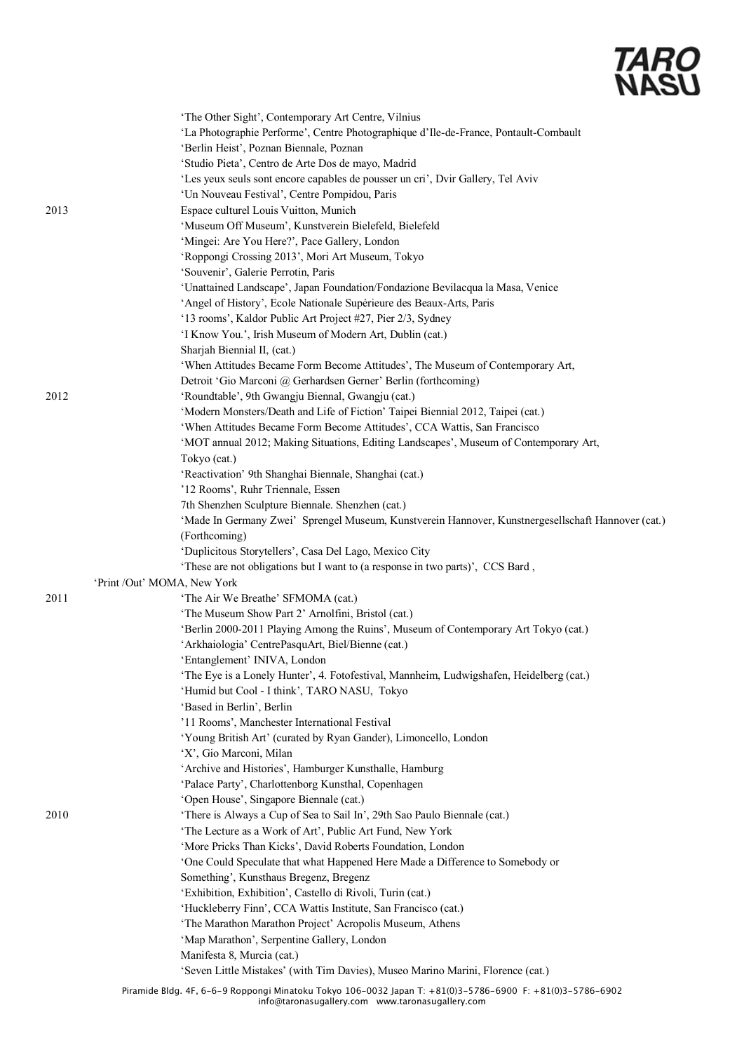|      | 'The Other Sight', Contemporary Art Centre, Vilnius                                                |
|------|----------------------------------------------------------------------------------------------------|
|      | 'La Photographie Performe', Centre Photographique d'Ile-de-France, Pontault-Combault               |
|      | 'Berlin Heist', Poznan Biennale, Poznan                                                            |
|      | 'Studio Pieta', Centro de Arte Dos de mayo, Madrid                                                 |
|      | 'Les yeux seuls sont encore capables de pousser un cri', Dvir Gallery, Tel Aviv                    |
|      | 'Un Nouveau Festival', Centre Pompidou, Paris                                                      |
| 2013 | Espace culturel Louis Vuitton, Munich                                                              |
|      | 'Museum Off Museum', Kunstverein Bielefeld, Bielefeld                                              |
|      | 'Mingei: Are You Here?', Pace Gallery, London                                                      |
|      | 'Roppongi Crossing 2013', Mori Art Museum, Tokyo                                                   |
|      | 'Souvenir', Galerie Perrotin, Paris                                                                |
|      | 'Unattained Landscape', Japan Foundation/Fondazione Bevilacqua la Masa, Venice                     |
|      | 'Angel of History', Ecole Nationale Supérieure des Beaux-Arts, Paris                               |
|      |                                                                                                    |
|      | '13 rooms', Kaldor Public Art Project #27, Pier 2/3, Sydney                                        |
|      | 'I Know You.', Irish Museum of Modern Art, Dublin (cat.)                                           |
|      | Sharjah Biennial II, (cat.)                                                                        |
|      | 'When Attitudes Became Form Become Attitudes', The Museum of Contemporary Art,                     |
|      | Detroit 'Gio Marconi @ Gerhardsen Gerner' Berlin (forthcoming)                                     |
| 2012 | 'Roundtable', 9th Gwangju Biennal, Gwangju (cat.)                                                  |
|      | 'Modern Monsters/Death and Life of Fiction' Taipei Biennial 2012, Taipei (cat.)                    |
|      | 'When Attitudes Became Form Become Attitudes', CCA Wattis, San Francisco                           |
|      | 'MOT annual 2012; Making Situations, Editing Landscapes', Museum of Contemporary Art,              |
|      | Tokyo (cat.)                                                                                       |
|      | 'Reactivation' 9th Shanghai Biennale, Shanghai (cat.)                                              |
|      | '12 Rooms', Ruhr Triennale, Essen                                                                  |
|      | 7th Shenzhen Sculpture Biennale. Shenzhen (cat.)                                                   |
|      | 'Made In Germany Zwei' Sprengel Museum, Kunstverein Hannover, Kunstnergesellschaft Hannover (cat.) |
|      | (Forthcoming)                                                                                      |
|      | 'Duplicitous Storytellers', Casa Del Lago, Mexico City                                             |
|      | 'These are not obligations but I want to (a response in two parts)', CCS Bard,                     |
|      | 'Print /Out' MOMA, New York                                                                        |
| 2011 | 'The Air We Breathe' SFMOMA (cat.)                                                                 |
|      | 'The Museum Show Part 2' Arnolfini, Bristol (cat.)                                                 |
|      | 'Berlin 2000-2011 Playing Among the Ruins', Museum of Contemporary Art Tokyo (cat.)                |
|      | 'Arkhaiologia' CentrePasquArt, Biel/Bienne (cat.)                                                  |
|      | 'Entanglement' INIVA, London                                                                       |
|      | 'The Eye is a Lonely Hunter', 4. Fotofestival, Mannheim, Ludwigshafen, Heidelberg (cat.)           |
|      | 'Humid but Cool - I think', TARO NASU, Tokyo                                                       |
|      | 'Based in Berlin', Berlin                                                                          |
|      | '11 Rooms', Manchester International Festival                                                      |
|      | 'Young British Art' (curated by Ryan Gander), Limoncello, London                                   |
|      | 'X', Gio Marconi, Milan                                                                            |
|      | 'Archive and Histories', Hamburger Kunsthalle, Hamburg                                             |
|      |                                                                                                    |
|      | 'Palace Party', Charlottenborg Kunsthal, Copenhagen                                                |
|      | 'Open House', Singapore Biennale (cat.)                                                            |
| 2010 | 'There is Always a Cup of Sea to Sail In', 29th Sao Paulo Biennale (cat.)                          |
|      | 'The Lecture as a Work of Art', Public Art Fund, New York                                          |
|      | 'More Pricks Than Kicks', David Roberts Foundation, London                                         |
|      | 'One Could Speculate that what Happened Here Made a Difference to Somebody or                      |
|      | Something', Kunsthaus Bregenz, Bregenz                                                             |
|      | 'Exhibition, Exhibition', Castello di Rivoli, Turin (cat.)                                         |
|      | 'Huckleberry Finn', CCA Wattis Institute, San Francisco (cat.)                                     |
|      | 'The Marathon Marathon Project' Acropolis Museum, Athens                                           |
|      | 'Map Marathon', Serpentine Gallery, London                                                         |
|      | Manifesta 8, Murcia (cat.)                                                                         |
|      | 'Seven Little Mistakes' (with Tim Davies), Museo Marino Marini, Florence (cat.)                    |
|      |                                                                                                    |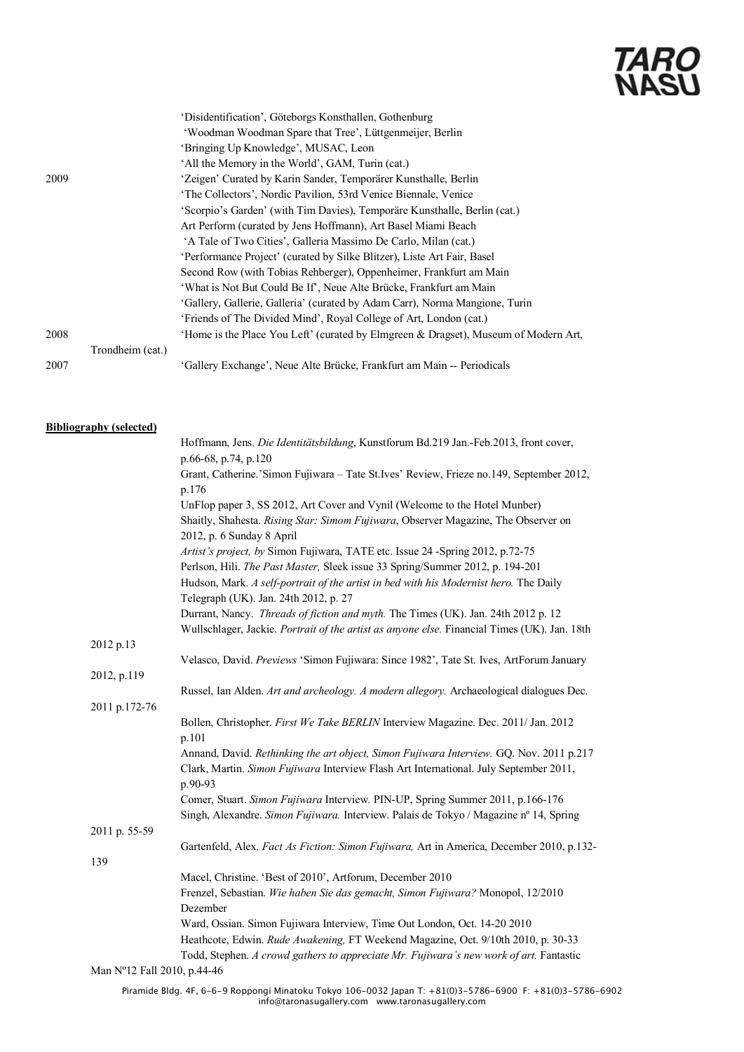|      |                  | 'Disidentification', Göteborgs Konsthallen, Gothenburg                              |
|------|------------------|-------------------------------------------------------------------------------------|
|      |                  | 'Woodman Woodman Spare that Tree', Lüttgenmeijer, Berlin                            |
|      |                  | 'Bringing Up Knowledge', MUSAC, Leon                                                |
|      |                  | 'All the Memory in the World', GAM, Turin (cat.)                                    |
| 2009 |                  | 'Zeigen' Curated by Karin Sander, Temporärer Kunsthalle, Berlin                     |
|      |                  | 'The Collectors', Nordic Pavilion, 53rd Venice Biennale, Venice                     |
|      |                  | 'Scorpio's Garden' (with Tim Davies), Temporäre Kunsthalle, Berlin (cat.)           |
|      |                  | Art Perform (curated by Jens Hoffmann), Art Basel Miami Beach                       |
|      |                  | 'A Tale of Two Cities', Galleria Massimo De Carlo, Milan (cat.)                     |
|      |                  | 'Performance Project' (curated by Silke Blitzer), Liste Art Fair, Basel             |
|      |                  | Second Row (with Tobias Rehberger), Oppenheimer, Frankfurt am Main                  |
|      |                  | 'What is Not But Could Be If', Neue Alte Brücke, Frankfurt am Main                  |
|      |                  | 'Gallery, Gallerie, Galleria' (curated by Adam Carr), Norma Mangione, Turin         |
|      |                  | 'Friends of The Divided Mind', Royal College of Art, London (cat.)                  |
| 2008 |                  | 'Home is the Place You Left' (curated by Elmgreen & Dragset), Museum of Modern Art, |
|      | Trondheim (cat.) |                                                                                     |
| 2007 |                  | 'Gallery Exchange', Neue Alte Brücke, Frankfurt am Main -- Periodicals              |

### **Bibliography (selected)**

|                             | Hoffmann, Jens. Die Identitätsbildung, Kunstforum Bd.219 Jan.-Feb.2013, front cover,         |  |
|-----------------------------|----------------------------------------------------------------------------------------------|--|
|                             | p.66-68, p.74, p.120                                                                         |  |
|                             | Grant, Catherine.'Simon Fujiwara - Tate St.Ives' Review, Frieze no.149, September 2012,      |  |
|                             | p.176                                                                                        |  |
|                             | UnFlop paper 3, SS 2012, Art Cover and Vynil (Welcome to the Hotel Munber)                   |  |
|                             | Shaitly, Shahesta. Rising Star: Simom Fujiwara, Observer Magazine, The Observer on           |  |
|                             | 2012, p. 6 Sunday 8 April                                                                    |  |
|                             | Artist's project, by Simon Fujiwara, TATE etc. Issue 24 -Spring 2012, p.72-75                |  |
|                             | Perlson, Hili. The Past Master, Sleek issue 33 Spring/Summer 2012, p. 194-201                |  |
|                             | Hudson, Mark. A self-portrait of the artist in bed with his Modernist hero. The Daily        |  |
|                             | Telegraph (UK). Jan. 24th 2012, p. 27                                                        |  |
|                             | Durrant, Nancy. Threads of fiction and myth. The Times (UK). Jan. 24th 2012 p. 12            |  |
|                             | Wullschlager, Jackie. Portrait of the artist as anyone else. Financial Times (UK). Jan. 18th |  |
| 2012 p.13                   |                                                                                              |  |
|                             | Velasco, David. Previews 'Simon Fujiwara: Since 1982', Tate St. Ives, ArtForum January       |  |
| 2012, p.119                 |                                                                                              |  |
|                             | Russel, Ian Alden. Art and archeology. A modern allegory. Archaeological dialogues Dec.      |  |
| 2011 p.172-76               |                                                                                              |  |
|                             | Bollen, Christopher. First We Take BERLIN Interview Magazine. Dec. 2011/ Jan. 2012           |  |
|                             | p.101                                                                                        |  |
|                             | Annand, David. Rethinking the art object, Simon Fujiwara Interview. GQ. Nov. 2011 p.217      |  |
|                             | Clark, Martin. Simon Fujiwara Interview Flash Art International. July September 2011,        |  |
|                             | p.90-93                                                                                      |  |
|                             | Comer, Stuart. Simon Fujiwara Interview. PIN-UP, Spring Summer 2011, p.166-176               |  |
|                             | Singh, Alexandre. Simon Fujiwara. Interview. Palais de Tokyo / Magazine nº 14, Spring        |  |
| 2011 p. 55-59               |                                                                                              |  |
|                             | Gartenfeld, Alex. Fact As Fiction: Simon Fujiwara, Art in America, December 2010, p.132-     |  |
| 139                         |                                                                                              |  |
|                             | Macel, Christine. 'Best of 2010', Artforum, December 2010                                    |  |
|                             | Frenzel, Sebastian. Wie haben Sie das gemacht, Simon Fujiwara? Monopol, 12/2010              |  |
|                             | Dezember                                                                                     |  |
|                             | Ward, Ossian. Simon Fujiwara Interview, Time Out London, Oct. 14-20 2010                     |  |
|                             | Heathcote, Edwin. Rude Awakening, FT Weekend Magazine, Oct. 9/10th 2010, p. 30-33            |  |
|                             | Todd, Stephen. A crowd gathers to appreciate Mr. Fujiwara's new work of art. Fantastic       |  |
| Man Nº12 Fall 2010, p.44-46 |                                                                                              |  |
|                             |                                                                                              |  |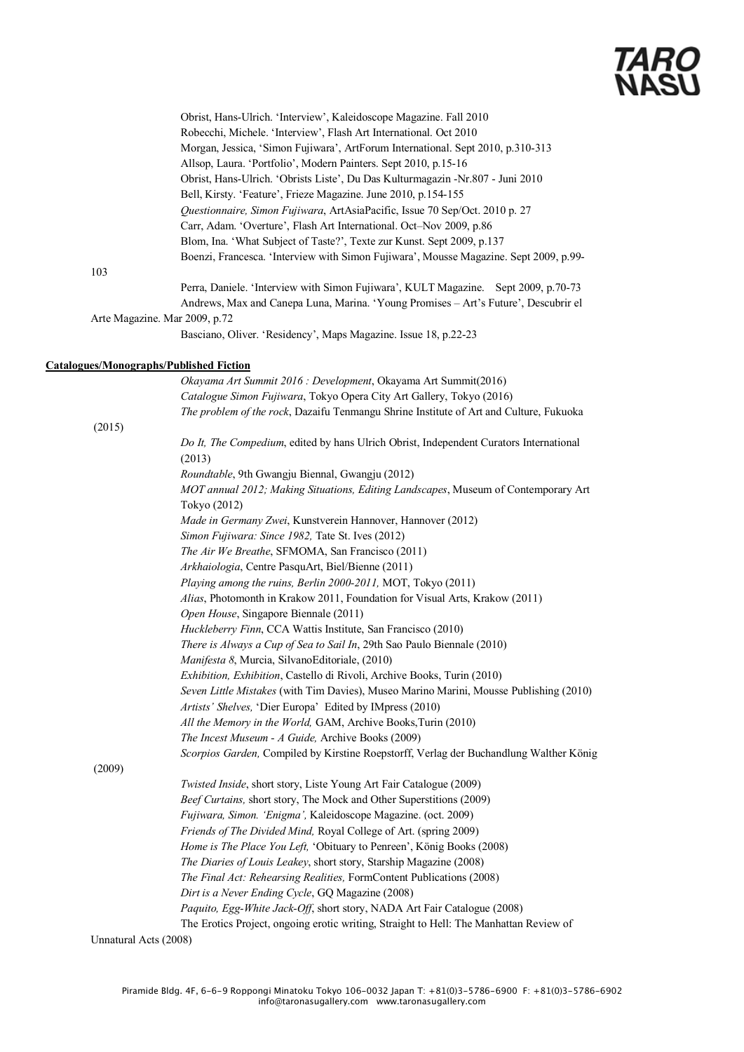Robecchi, Michele. 'Interview', Flash Art International. Oct 2010 Morgan, Jessica, 'Simon Fujiwara', ArtForum International. Sept 2010, p.310-313 Allsop, Laura. 'Portfolio', Modern Painters. Sept 2010, p.15-16 Obrist, Hans-Ulrich. 'Obrists Liste', Du Das Kulturmagazin -Nr.807 - Juni 2010 Bell, Kirsty. 'Feature', Frieze Magazine. June 2010, p.154-155 *Questionnaire, Simon Fujiwara*, ArtAsiaPacific, Issue 70 Sep/Oct. 2010 p. 27 Carr, Adam. 'Overture', Flash Art International. Oct–Nov 2009, p.86 Blom, Ina. 'What Subject of Taste?', Texte zur Kunst. Sept 2009, p.137 Boenzi, Francesca. 'Interview with Simon Fujiwara', Mousse Magazine. Sept 2009, p.99- Perra, Daniele. 'Interview with Simon Fujiwara', KULT Magazine. Sept 2009, p.70-73 Andrews, Max and Canepa Luna, Marina. 'Young Promises – Art's Future', Descubrir el Arte Magazine. Mar 2009, p.72

Obrist, Hans-Ulrich. 'Interview', Kaleidoscope Magazine. Fall 2010

Basciano, Oliver. 'Residency', Maps Magazine. Issue 18, p.22-23

### **Catalogues/Monographs/Published Fiction**

103

*Okayama Art Summit 2016 : Development*, Okayama Art Summit(2016) *Catalogue Simon Fujiwara*, Tokyo Opera City Art Gallery, Tokyo (2016) *The problem of the rock*, Dazaifu Tenmangu Shrine Institute of Art and Culture, Fukuoka (2015) *Do It, The Compedium*, edited by hans Ulrich Obrist, Independent Curators International (2013) *Roundtable*, 9th Gwangju Biennal, Gwangju (2012) *MOT annual 2012; Making Situations, Editing Landscapes*, Museum of Contemporary Art Tokyo (2012) *Made in Germany Zwei*, Kunstverein Hannover, Hannover (2012) *Simon Fujiwara: Since 1982,* Tate St. Ives (2012) *The Air We Breathe*, SFMOMA, San Francisco (2011) *Arkhaiologia*, Centre PasquArt, Biel/Bienne (2011) *Playing among the ruins, Berlin 2000-2011,* MOT, Tokyo (2011) *Alias*, Photomonth in Krakow 2011, Foundation for Visual Arts, Krakow (2011) *Open House*, Singapore Biennale (2011) *Huckleberry Finn*, CCA Wattis Institute, San Francisco (2010) *There is Always a Cup of Sea to Sail In*, 29th Sao Paulo Biennale (2010) *Manifesta 8*, Murcia, SilvanoEditoriale, (2010) *Exhibition, Exhibition*, Castello di Rivoli, Archive Books, Turin (2010) *Seven Little Mistakes* (with Tim Davies), Museo Marino Marini, Mousse Publishing (2010) *Artists' Shelves,* 'Dier Europa' Edited by IMpress (2010) *All the Memory in the World,* GAM, Archive Books,Turin (2010) *The Incest Museum - A Guide,* Archive Books (2009) *Scorpios Garden,* Compiled by Kirstine Roepstorff, Verlag der Buchandlung Walther König (2009) *Twisted Inside*, short story, Liste Young Art Fair Catalogue (2009) *Beef Curtains,* short story, The Mock and Other Superstitions (2009) *Fujiwara, Simon. 'Enigma',* Kaleidoscope Magazine. (oct. 2009) *Friends of The Divided Mind,* Royal College of Art. (spring 2009) *Home is The Place You Left,* 'Obituary to Penreen', König Books (2008) *The Diaries of Louis Leakey*, short story, Starship Magazine (2008) *The Final Act: Rehearsing Realities,* FormContent Publications (2008) *Dirt is a Never Ending Cycle*, GQ Magazine (2008) *Paquito, Egg-White Jack-Off*, short story, NADA Art Fair Catalogue (2008) The Erotics Project, ongoing erotic writing, Straight to Hell: The Manhattan Review of Unnatural Acts (2008)